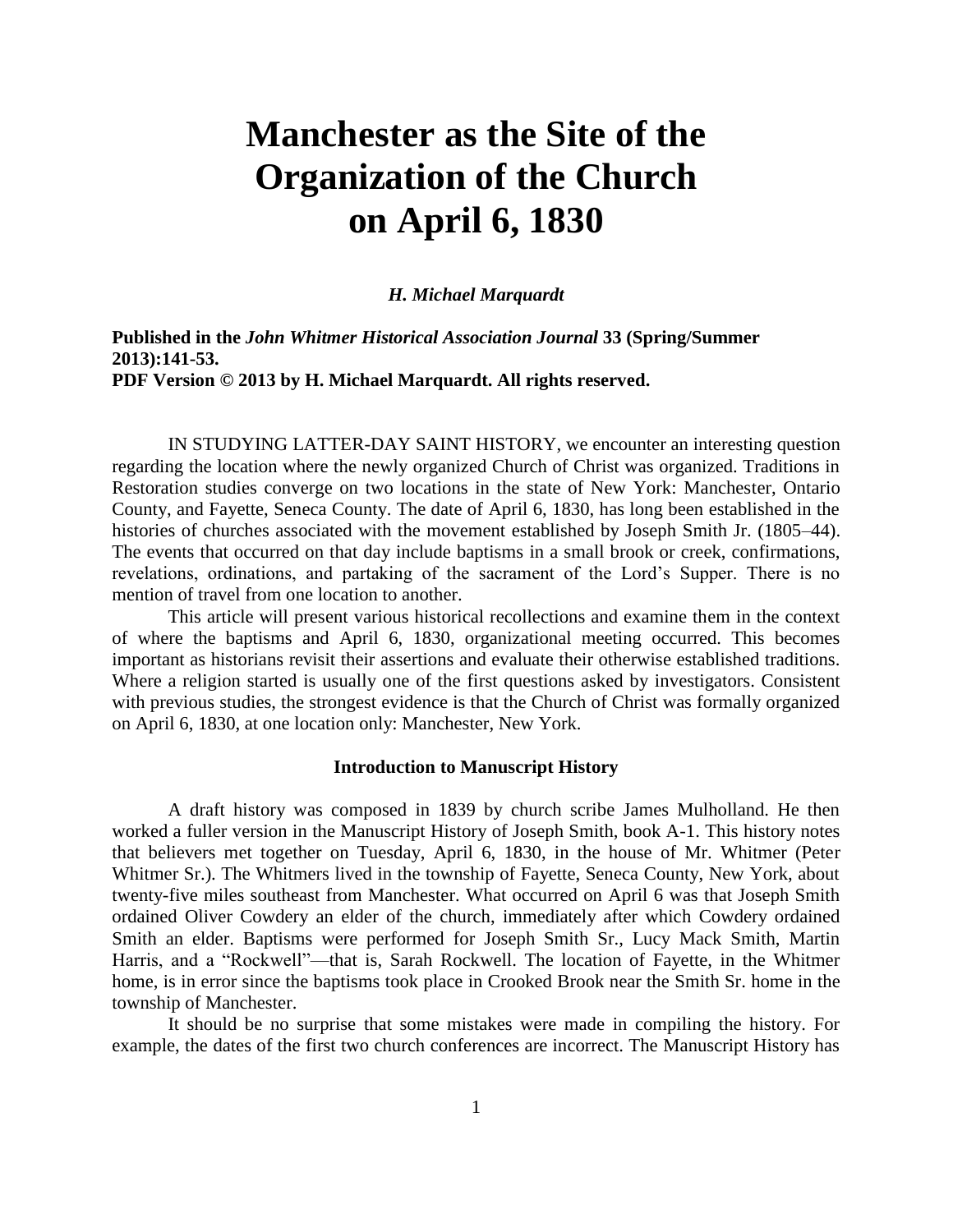# **Manchester as the Site of the Organization of the Church on April 6, 1830**

# *H. Michael Marquardt*

**Published in the** *John Whitmer Historical Association Journal* **33 (Spring/Summer 2013):141-53. PDF Version © 2013 by H. Michael Marquardt. All rights reserved.** 

IN STUDYING LATTER-DAY SAINT HISTORY, we encounter an interesting question regarding the location where the newly organized Church of Christ was organized. Traditions in Restoration studies converge on two locations in the state of New York: Manchester, Ontario County, and Fayette, Seneca County. The date of April 6, 1830, has long been established in the histories of churches associated with the movement established by Joseph Smith Jr. (1805–44). The events that occurred on that day include baptisms in a small brook or creek, confirmations, revelations, ordinations, and partaking of the sacrament of the Lord's Supper. There is no mention of travel from one location to another.

This article will present various historical recollections and examine them in the context of where the baptisms and April 6, 1830, organizational meeting occurred. This becomes important as historians revisit their assertions and evaluate their otherwise established traditions. Where a religion started is usually one of the first questions asked by investigators. Consistent with previous studies, the strongest evidence is that the Church of Christ was formally organized on April 6, 1830, at one location only: Manchester, New York.

#### **Introduction to Manuscript History**

A draft history was composed in 1839 by church scribe James Mulholland. He then worked a fuller version in the Manuscript History of Joseph Smith, book A-1. This history notes that believers met together on Tuesday, April 6, 1830, in the house of Mr. Whitmer (Peter Whitmer Sr.). The Whitmers lived in the township of Fayette, Seneca County, New York, about twenty-five miles southeast from Manchester. What occurred on April 6 was that Joseph Smith ordained Oliver Cowdery an elder of the church, immediately after which Cowdery ordained Smith an elder. Baptisms were performed for Joseph Smith Sr., Lucy Mack Smith, Martin Harris, and a "Rockwell"—that is, Sarah Rockwell. The location of Fayette, in the Whitmer home, is in error since the baptisms took place in Crooked Brook near the Smith Sr. home in the township of Manchester.

It should be no surprise that some mistakes were made in compiling the history. For example, the dates of the first two church conferences are incorrect. The Manuscript History has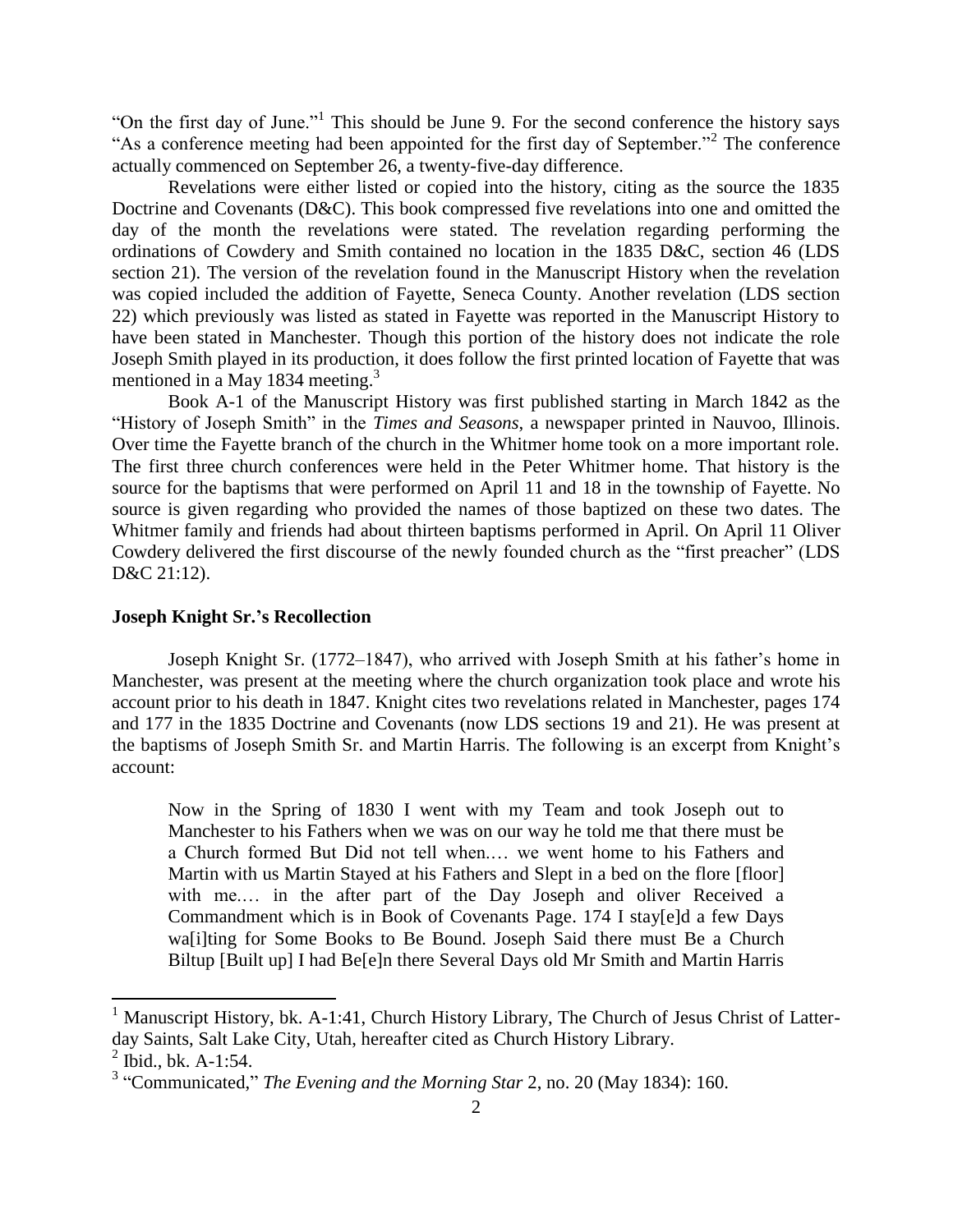"On the first day of June."<sup>1</sup> This should be June 9. For the second conference the history says "As a conference meeting had been appointed for the first day of September."<sup>2</sup> The conference actually commenced on September 26, a twenty-five-day difference.

Revelations were either listed or copied into the history, citing as the source the 1835 Doctrine and Covenants (D&C). This book compressed five revelations into one and omitted the day of the month the revelations were stated. The revelation regarding performing the ordinations of Cowdery and Smith contained no location in the 1835 D&C, section 46 (LDS section 21). The version of the revelation found in the Manuscript History when the revelation was copied included the addition of Fayette, Seneca County. Another revelation (LDS section 22) which previously was listed as stated in Fayette was reported in the Manuscript History to have been stated in Manchester. Though this portion of the history does not indicate the role Joseph Smith played in its production, it does follow the first printed location of Fayette that was mentioned in a May 1834 meeting.<sup>3</sup>

Book A-1 of the Manuscript History was first published starting in March 1842 as the "History of Joseph Smith" in the *Times and Seasons*, a newspaper printed in Nauvoo, Illinois. Over time the Fayette branch of the church in the Whitmer home took on a more important role. The first three church conferences were held in the Peter Whitmer home. That history is the source for the baptisms that were performed on April 11 and 18 in the township of Fayette. No source is given regarding who provided the names of those baptized on these two dates. The Whitmer family and friends had about thirteen baptisms performed in April. On April 11 Oliver Cowdery delivered the first discourse of the newly founded church as the "first preacher" (LDS D&C 21:12).

# **Joseph Knight Sr.'s Recollection**

Joseph Knight Sr. (1772–1847), who arrived with Joseph Smith at his father's home in Manchester, was present at the meeting where the church organization took place and wrote his account prior to his death in 1847. Knight cites two revelations related in Manchester, pages 174 and 177 in the 1835 Doctrine and Covenants (now LDS sections 19 and 21). He was present at the baptisms of Joseph Smith Sr. and Martin Harris. The following is an excerpt from Knight's account:

Now in the Spring of 1830 I went with my Team and took Joseph out to Manchester to his Fathers when we was on our way he told me that there must be a Church formed But Did not tell when.… we went home to his Fathers and Martin with us Martin Stayed at his Fathers and Slept in a bed on the flore [floor] with me.… in the after part of the Day Joseph and oliver Received a Commandment which is in Book of Covenants Page. 174 I stay[e]d a few Days wa[i]ting for Some Books to Be Bound. Joseph Said there must Be a Church Biltup [Built up] I had Be[e]n there Several Days old Mr Smith and Martin Harris

 $\overline{\phantom{a}}$ 

<sup>&</sup>lt;sup>1</sup> Manuscript History, bk. A-1:41, Church History Library, The Church of Jesus Christ of Latterday Saints, Salt Lake City, Utah, hereafter cited as Church History Library.  $^{2}$  Ibid., bk. A-1:54.

<sup>3</sup> "Communicated," *The Evening and the Morning Star* 2, no. 20 (May 1834): 160.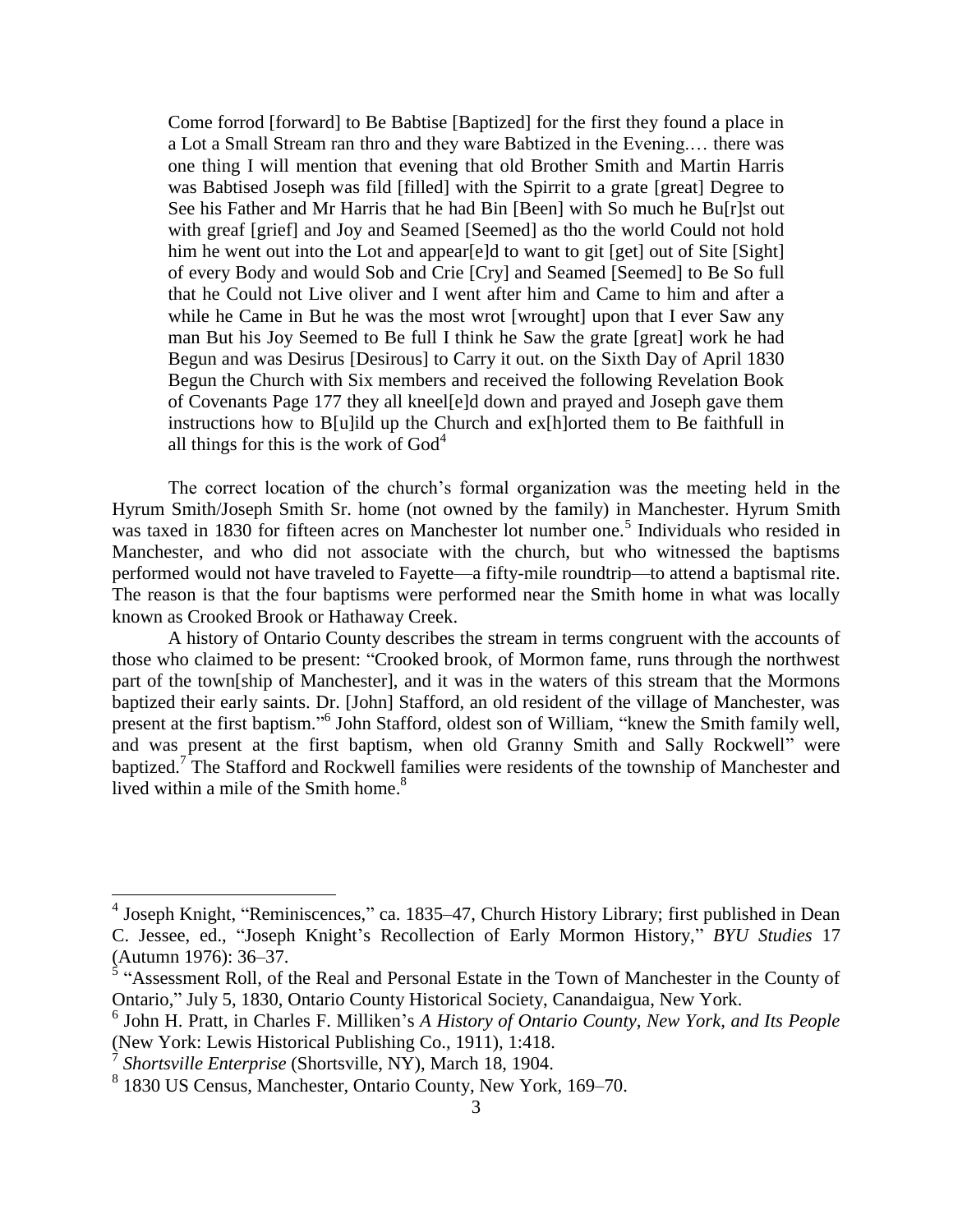Come forrod [forward] to Be Babtise [Baptized] for the first they found a place in a Lot a Small Stream ran thro and they ware Babtized in the Evening.… there was one thing I will mention that evening that old Brother Smith and Martin Harris was Babtised Joseph was fild [filled] with the Spirrit to a grate [great] Degree to See his Father and Mr Harris that he had Bin [Been] with So much he Bu[r]st out with greaf [grief] and Joy and Seamed [Seemed] as tho the world Could not hold him he went out into the Lot and appear[e]d to want to git [get] out of Site [Sight] of every Body and would Sob and Crie [Cry] and Seamed [Seemed] to Be So full that he Could not Live oliver and I went after him and Came to him and after a while he Came in But he was the most wrot [wrought] upon that I ever Saw any man But his Joy Seemed to Be full I think he Saw the grate [great] work he had Begun and was Desirus [Desirous] to Carry it out. on the Sixth Day of April 1830 Begun the Church with Six members and received the following Revelation Book of Covenants Page 177 they all kneel[e]d down and prayed and Joseph gave them instructions how to B[u]ild up the Church and ex[h]orted them to Be faithfull in all things for this is the work of  $God<sup>4</sup>$ 

The correct location of the church's formal organization was the meeting held in the Hyrum Smith/Joseph Smith Sr. home (not owned by the family) in Manchester. Hyrum Smith was taxed in 1830 for fifteen acres on Manchester lot number one.<sup>5</sup> Individuals who resided in Manchester, and who did not associate with the church, but who witnessed the baptisms performed would not have traveled to Fayette—a fifty-mile roundtrip—to attend a baptismal rite. The reason is that the four baptisms were performed near the Smith home in what was locally known as Crooked Brook or Hathaway Creek.

A history of Ontario County describes the stream in terms congruent with the accounts of those who claimed to be present: "Crooked brook, of Mormon fame, runs through the northwest part of the town[ship of Manchester], and it was in the waters of this stream that the Mormons baptized their early saints. Dr. [John] Stafford, an old resident of the village of Manchester, was present at the first baptism."<sup>6</sup> John Stafford, oldest son of William, "knew the Smith family well, and was present at the first baptism, when old Granny Smith and Sally Rockwell" were baptized.<sup>7</sup> The Stafford and Rockwell families were residents of the township of Manchester and lived within a mile of the Smith home. $8<sup>8</sup>$ 

 4 Joseph Knight, "Reminiscences," ca. 1835–47, Church History Library; first published in Dean C. Jessee, ed., "Joseph Knight's Recollection of Early Mormon History," *BYU Studies* 17 (Autumn 1976): 36–37.

 $\frac{5}{3}$  "Assessment Roll, of the Real and Personal Estate in the Town of Manchester in the County of Ontario," July 5, 1830, Ontario County Historical Society, Canandaigua, New York.

<sup>6</sup> John H. Pratt, in Charles F. Milliken's *A History of Ontario County, New York, and Its People* (New York: Lewis Historical Publishing Co., 1911), 1:418.

*Shortsville Enterprise* (Shortsville, NY), March 18, 1904.

<sup>8</sup> 1830 US Census, Manchester, Ontario County, New York, 169–70.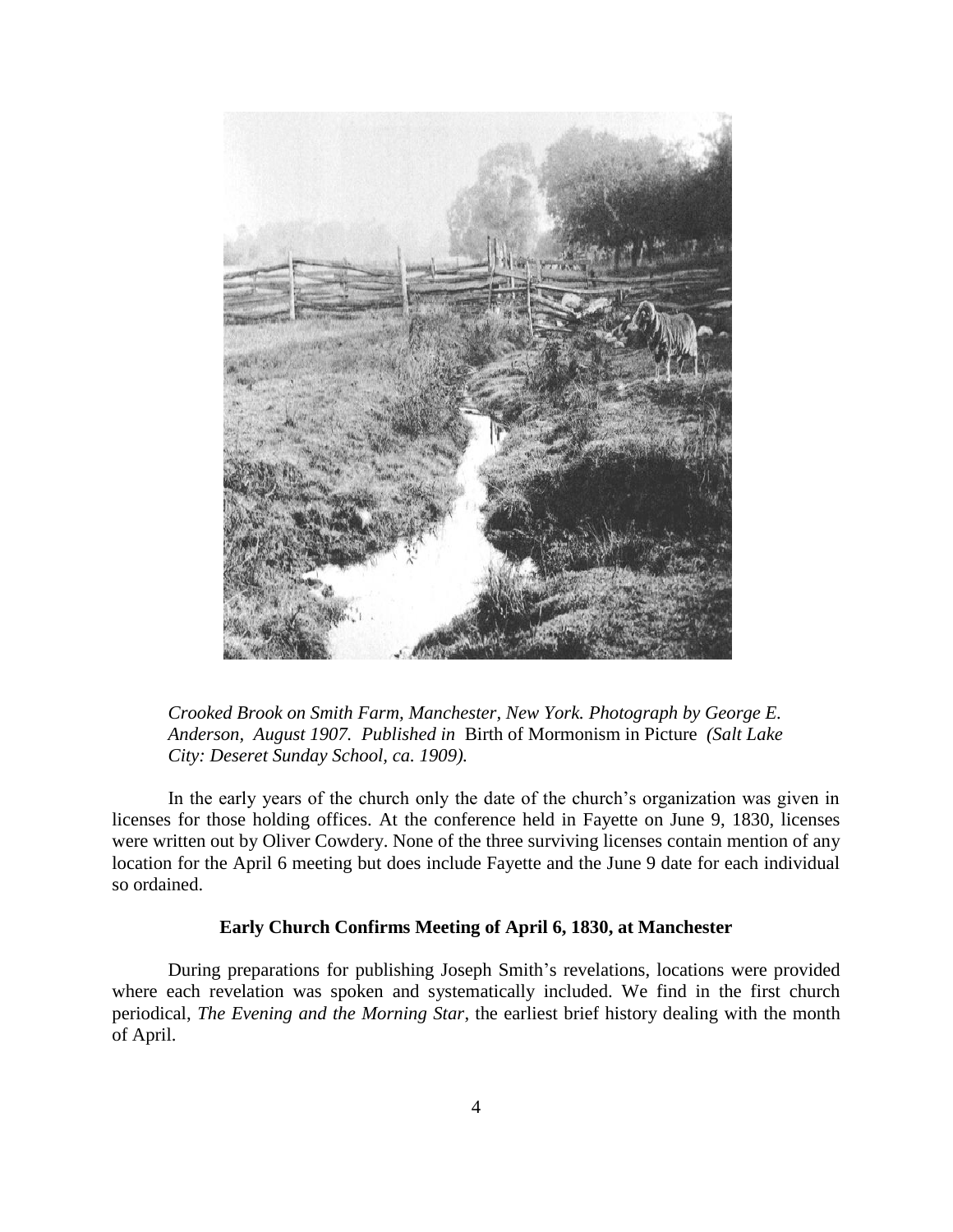

*Crooked Brook on Smith Farm, Manchester, New York. Photograph by George E. Anderson, August 1907. Published in* Birth of Mormonism in Picture *(Salt Lake City: Deseret Sunday School, ca. 1909).*

In the early years of the church only the date of the church's organization was given in licenses for those holding offices. At the conference held in Fayette on June 9, 1830, licenses were written out by Oliver Cowdery. None of the three surviving licenses contain mention of any location for the April 6 meeting but does include Fayette and the June 9 date for each individual so ordained.

# **Early Church Confirms Meeting of April 6, 1830, at Manchester**

During preparations for publishing Joseph Smith's revelations, locations were provided where each revelation was spoken and systematically included. We find in the first church periodical, *The Evening and the Morning Star*, the earliest brief history dealing with the month of April.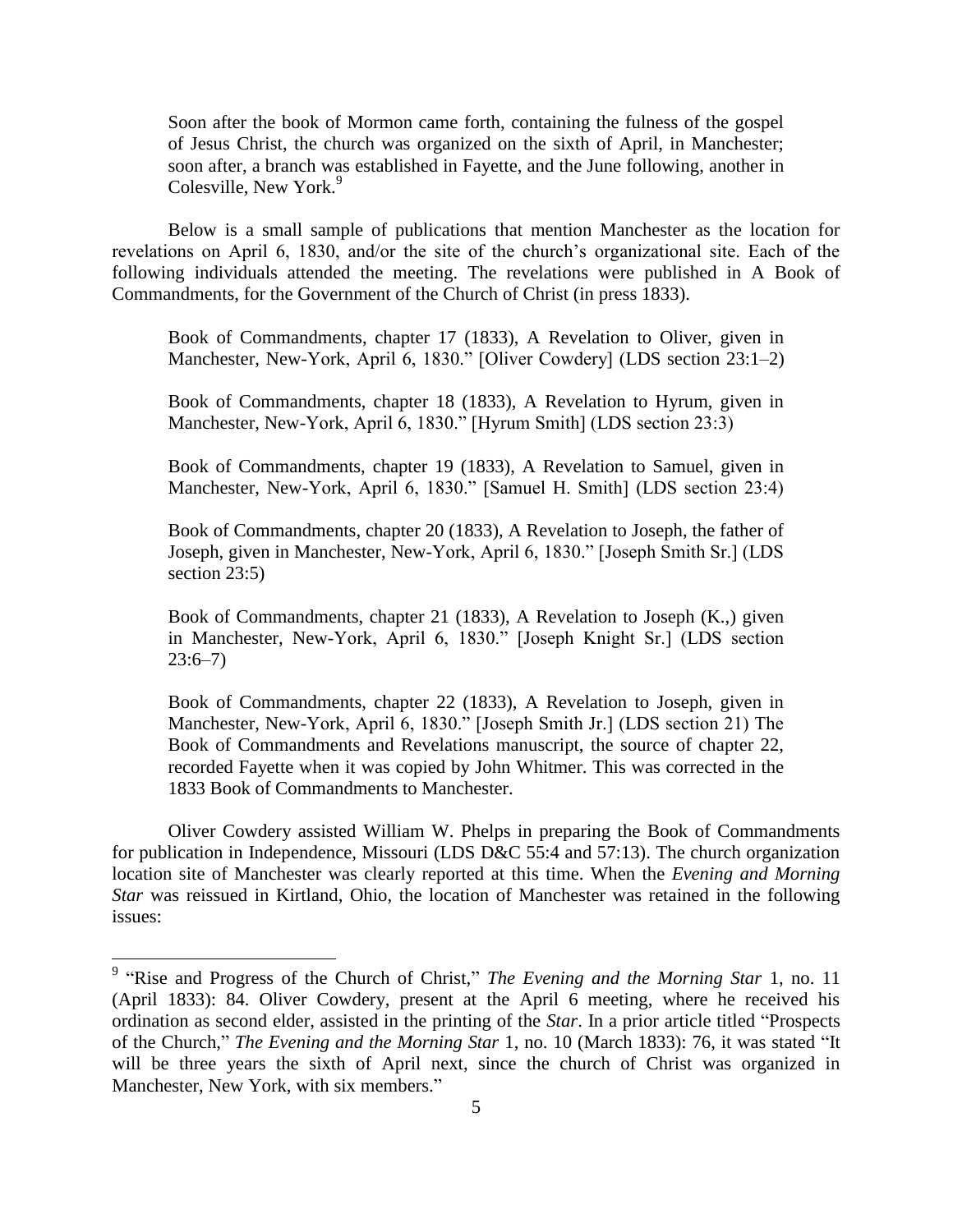Soon after the book of Mormon came forth, containing the fulness of the gospel of Jesus Christ, the church was organized on the sixth of April, in Manchester; soon after, a branch was established in Fayette, and the June following, another in Colesville, New York.<sup>9</sup>

Below is a small sample of publications that mention Manchester as the location for revelations on April 6, 1830, and/or the site of the church's organizational site. Each of the following individuals attended the meeting. The revelations were published in A Book of Commandments, for the Government of the Church of Christ (in press 1833).

Book of Commandments, chapter 17 (1833), A Revelation to Oliver, given in Manchester, New-York, April 6, 1830." [Oliver Cowdery] (LDS section 23:1–2)

Book of Commandments, chapter 18 (1833), A Revelation to Hyrum, given in Manchester, New-York, April 6, 1830." [Hyrum Smith] (LDS section 23:3)

Book of Commandments, chapter 19 (1833), A Revelation to Samuel, given in Manchester, New-York, April 6, 1830." [Samuel H. Smith] (LDS section 23:4)

Book of Commandments, chapter 20 (1833), A Revelation to Joseph, the father of Joseph, given in Manchester, New-York, April 6, 1830." [Joseph Smith Sr.] (LDS section 23:5)

Book of Commandments, chapter 21 (1833), A Revelation to Joseph (K.,) given in Manchester, New-York, April 6, 1830." [Joseph Knight Sr.] (LDS section  $23:6 - 7)$ 

Book of Commandments, chapter 22 (1833), A Revelation to Joseph, given in Manchester, New-York, April 6, 1830." [Joseph Smith Jr.] (LDS section 21) The Book of Commandments and Revelations manuscript, the source of chapter 22, recorded Fayette when it was copied by John Whitmer. This was corrected in the 1833 Book of Commandments to Manchester.

Oliver Cowdery assisted William W. Phelps in preparing the Book of Commandments for publication in Independence, Missouri (LDS D&C 55:4 and 57:13). The church organization location site of Manchester was clearly reported at this time. When the *Evening and Morning Star* was reissued in Kirtland, Ohio, the location of Manchester was retained in the following issues:

 9 "Rise and Progress of the Church of Christ," *The Evening and the Morning Star* 1, no. 11 (April 1833): 84. Oliver Cowdery, present at the April 6 meeting, where he received his ordination as second elder, assisted in the printing of the *Star*. In a prior article titled "Prospects of the Church," *The Evening and the Morning Star* 1, no. 10 (March 1833): 76, it was stated "It will be three years the sixth of April next, since the church of Christ was organized in Manchester, New York, with six members."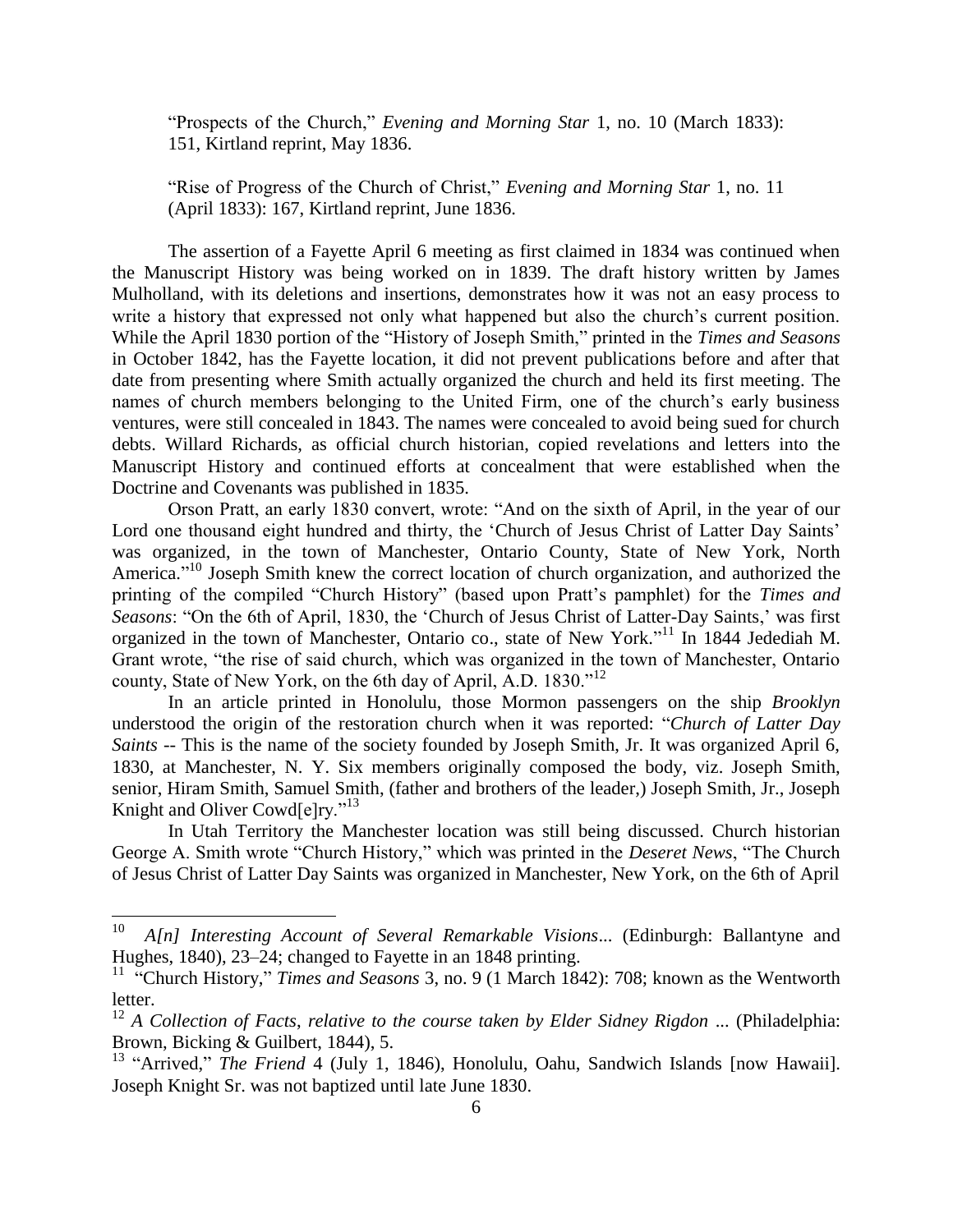"Prospects of the Church," *Evening and Morning Star* 1, no. 10 (March 1833): 151, Kirtland reprint, May 1836.

"Rise of Progress of the Church of Christ," *Evening and Morning Star* 1, no. 11 (April 1833): 167, Kirtland reprint, June 1836.

The assertion of a Fayette April 6 meeting as first claimed in 1834 was continued when the Manuscript History was being worked on in 1839. The draft history written by James Mulholland, with its deletions and insertions, demonstrates how it was not an easy process to write a history that expressed not only what happened but also the church's current position. While the April 1830 portion of the "History of Joseph Smith," printed in the *Times and Seasons* in October 1842, has the Fayette location, it did not prevent publications before and after that date from presenting where Smith actually organized the church and held its first meeting. The names of church members belonging to the United Firm, one of the church's early business ventures, were still concealed in 1843. The names were concealed to avoid being sued for church debts. Willard Richards, as official church historian, copied revelations and letters into the Manuscript History and continued efforts at concealment that were established when the Doctrine and Covenants was published in 1835.

Orson Pratt, an early 1830 convert, wrote: "And on the sixth of April, in the year of our Lord one thousand eight hundred and thirty, the 'Church of Jesus Christ of Latter Day Saints' was organized, in the town of Manchester, Ontario County, State of New York, North America."<sup>10</sup> Joseph Smith knew the correct location of church organization, and authorized the printing of the compiled "Church History" (based upon Pratt's pamphlet) for the *Times and Seasons*: "On the 6th of April, 1830, the 'Church of Jesus Christ of Latter-Day Saints,' was first organized in the town of Manchester, Ontario co., state of New York."<sup>11</sup> In 1844 Jedediah M. Grant wrote, "the rise of said church, which was organized in the town of Manchester, Ontario county, State of New York, on the 6th day of April, A.D. 1830."<sup>12</sup>

In an article printed in Honolulu, those Mormon passengers on the ship *Brooklyn* understood the origin of the restoration church when it was reported: "*Church of Latter Day Saints --* This is the name of the society founded by Joseph Smith, Jr. It was organized April 6, 1830, at Manchester, N. Y. Six members originally composed the body, viz. Joseph Smith, senior, Hiram Smith, Samuel Smith, (father and brothers of the leader,) Joseph Smith, Jr., Joseph Knight and Oliver Cowd<sup>[e]ry."13</sup>

In Utah Territory the Manchester location was still being discussed. Church historian George A. Smith wrote "Church History," which was printed in the *Deseret News*, "The Church of Jesus Christ of Latter Day Saints was organized in Manchester, New York, on the 6th of April

 $\frac{1}{10}$  *A[n] Interesting Account of Several Remarkable Visions*... (Edinburgh: Ballantyne and Hughes, 1840), 23–24; changed to Fayette in an 1848 printing.

<sup>&</sup>lt;sup>11</sup> "Church History," *Times and Seasons* 3, no. 9 (1 March 1842): 708; known as the Wentworth letter.

<sup>12</sup> *A Collection of Facts*, *relative to the course taken by Elder Sidney Rigdon* ... (Philadelphia: Brown, Bicking & Guilbert, 1844), 5.

<sup>&</sup>lt;sup>13</sup> "Arrived," *The Friend* 4 (July 1, 1846), Honolulu, Oahu, Sandwich Islands [now Hawaii]. Joseph Knight Sr. was not baptized until late June 1830.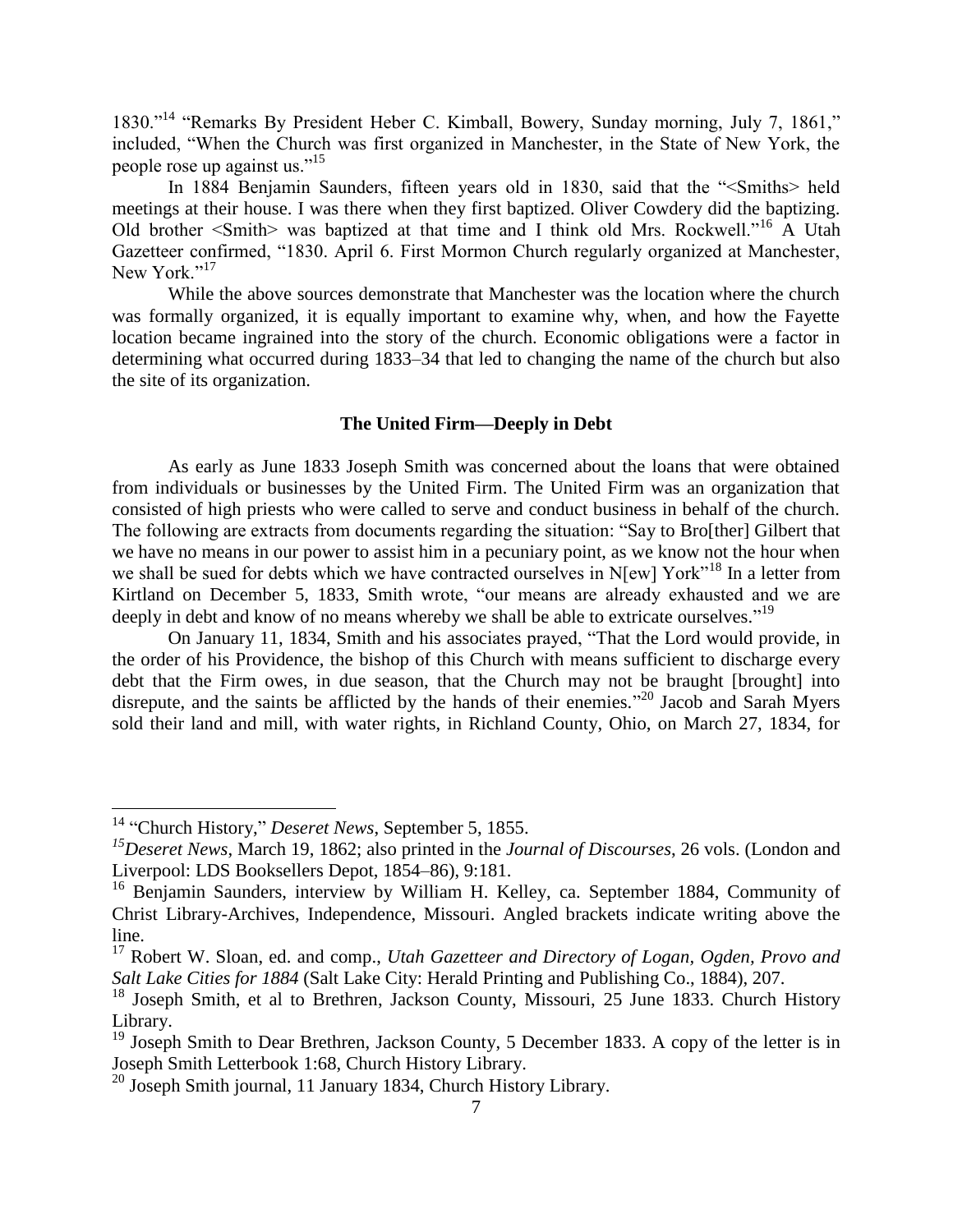1830."<sup>14</sup> "Remarks By President Heber C. Kimball, Bowery, Sunday morning, July 7, 1861," included, "When the Church was first organized in Manchester, in the State of New York, the people rose up against us."<sup>15</sup>

In 1884 Benjamin Saunders, fifteen years old in 1830, said that the "<Smiths> held meetings at their house. I was there when they first baptized. Oliver Cowdery did the baptizing. Old brother <Smith> was baptized at that time and I think old Mrs. Rockwell."<sup>16</sup> A Utah Gazetteer confirmed, "1830. April 6. First Mormon Church regularly organized at Manchester, New York."<sup>17</sup>

While the above sources demonstrate that Manchester was the location where the church was formally organized, it is equally important to examine why, when, and how the Fayette location became ingrained into the story of the church. Economic obligations were a factor in determining what occurred during 1833–34 that led to changing the name of the church but also the site of its organization.

# **The United Firm—Deeply in Debt**

As early as June 1833 Joseph Smith was concerned about the loans that were obtained from individuals or businesses by the United Firm. The United Firm was an organization that consisted of high priests who were called to serve and conduct business in behalf of the church. The following are extracts from documents regarding the situation: "Say to Bro[ther] Gilbert that we have no means in our power to assist him in a pecuniary point, as we know not the hour when we shall be sued for debts which we have contracted ourselves in N[ew] York"<sup>18</sup> In a letter from Kirtland on December 5, 1833, Smith wrote, "our means are already exhausted and we are deeply in debt and know of no means whereby we shall be able to extricate ourselves."<sup>19</sup>

On January 11, 1834, Smith and his associates prayed, "That the Lord would provide, in the order of his Providence, the bishop of this Church with means sufficient to discharge every debt that the Firm owes, in due season, that the Church may not be braught [brought] into disrepute, and the saints be afflicted by the hands of their enemies."<sup>20</sup> Jacob and Sarah Myers sold their land and mill, with water rights, in Richland County, Ohio, on March 27, 1834, for

 $\overline{a}$ 

<sup>14</sup> "Church History," *Deseret News*, September 5, 1855.

*<sup>15</sup>Deseret News*, March 19, 1862; also printed in the *Journal of Discourses*, 26 vols. (London and Liverpool: LDS Booksellers Depot, 1854–86), 9:181.

<sup>&</sup>lt;sup>16</sup> Benjamin Saunders, interview by William H. Kelley, ca. September 1884, Community of Christ Library-Archives, Independence, Missouri. Angled brackets indicate writing above the line.

<sup>17</sup> Robert W. Sloan, ed. and comp., *Utah Gazetteer and Directory of Logan, Ogden, Provo and Salt Lake Cities for 1884* (Salt Lake City: Herald Printing and Publishing Co., 1884), 207.

<sup>&</sup>lt;sup>18</sup> Joseph Smith, et al to Brethren, Jackson County, Missouri, 25 June 1833. Church History Library.

 $19$  Joseph Smith to Dear Brethren, Jackson County, 5 December 1833. A copy of the letter is in Joseph Smith Letterbook 1:68, Church History Library.

<sup>&</sup>lt;sup>20</sup> Joseph Smith journal, 11 January 1834, Church History Library.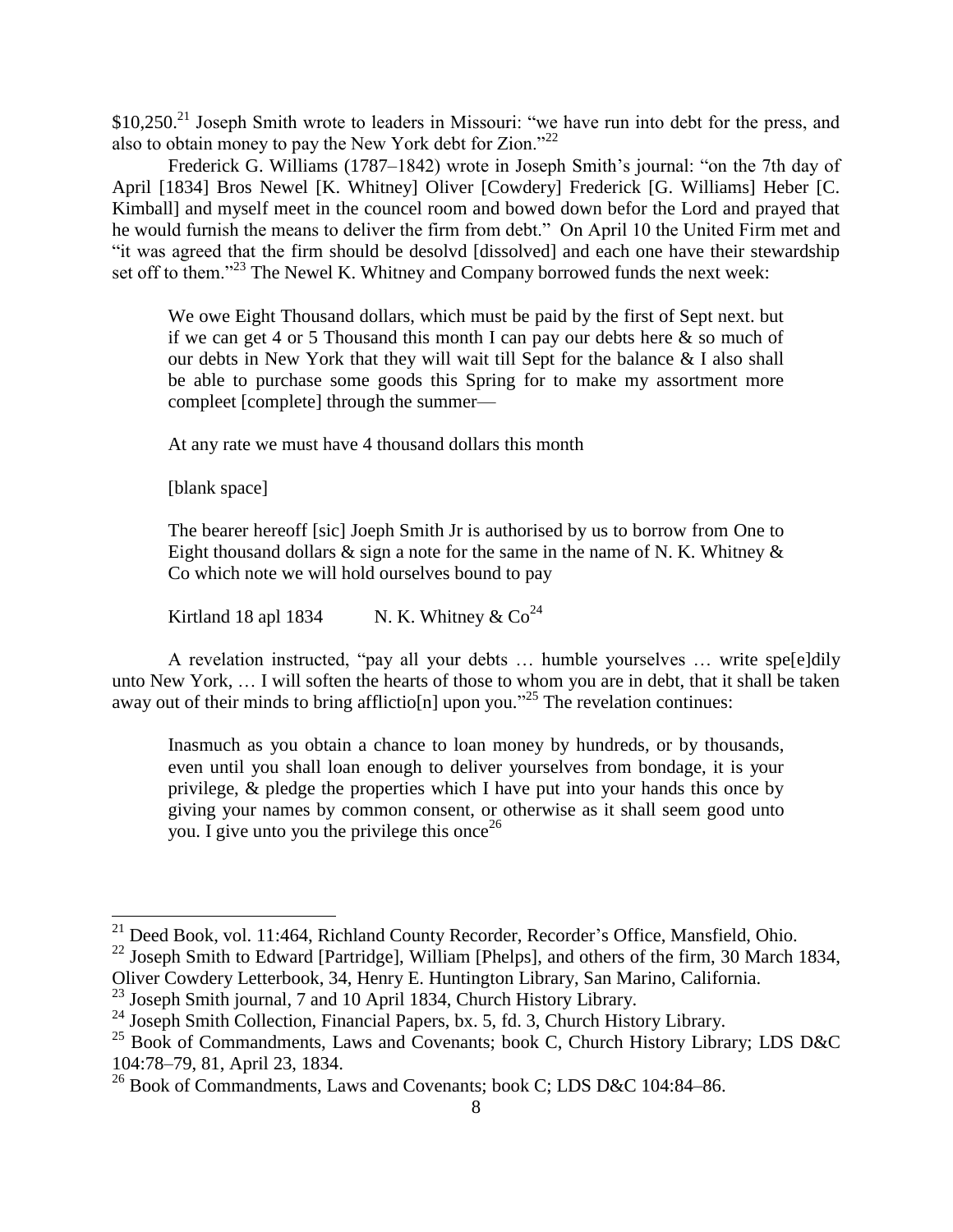\$10,250.<sup>21</sup> Joseph Smith wrote to leaders in Missouri: "we have run into debt for the press, and also to obtain money to pay the New York debt for Zion."<sup>22</sup>

Frederick G. Williams (1787–1842) wrote in Joseph Smith's journal: "on the 7th day of April [1834] Bros Newel [K. Whitney] Oliver [Cowdery] Frederick [G. Williams] Heber [C. Kimball] and myself meet in the councel room and bowed down befor the Lord and prayed that he would furnish the means to deliver the firm from debt." On April 10 the United Firm met and "it was agreed that the firm should be desolvd [dissolved] and each one have their stewardship set off to them."<sup>23</sup> The Newel K. Whitney and Company borrowed funds the next week:

We owe Eight Thousand dollars, which must be paid by the first of Sept next. but if we can get 4 or 5 Thousand this month I can pay our debts here  $\&$  so much of our debts in New York that they will wait till Sept for the balance & I also shall be able to purchase some goods this Spring for to make my assortment more compleet [complete] through the summer—

At any rate we must have 4 thousand dollars this month

[blank space]

 $\overline{a}$ 

The bearer hereoff [sic] Joeph Smith Jr is authorised by us to borrow from One to Eight thousand dollars  $\&$  sign a note for the same in the name of N. K. Whitney  $\&$ Co which note we will hold ourselves bound to pay

Kirtland 18 apl 1834 N. K. Whitney  $& Co^{24}$ 

A revelation instructed, "pay all your debts … humble yourselves … write spe[e]dily unto New York, … I will soften the hearts of those to whom you are in debt, that it shall be taken away out of their minds to bring afflictio[n] upon you."<sup>25</sup> The revelation continues:

Inasmuch as you obtain a chance to loan money by hundreds, or by thousands, even until you shall loan enough to deliver yourselves from bondage, it is your privilege, & pledge the properties which I have put into your hands this once by giving your names by common consent, or otherwise as it shall seem good unto you. I give unto you the privilege this once  $2^6$ 

<sup>&</sup>lt;sup>21</sup> Deed Book, vol. 11:464, Richland County Recorder, Recorder's Office, Mansfield, Ohio.

<sup>&</sup>lt;sup>22</sup> Joseph Smith to Edward [Partridge], William [Phelps], and others of the firm, 30 March 1834,

Oliver Cowdery Letterbook, 34, Henry E. Huntington Library, San Marino, California.

<sup>&</sup>lt;sup>23</sup> Joseph Smith journal, 7 and 10 April 1834, Church History Library.

<sup>&</sup>lt;sup>24</sup> Joseph Smith Collection, Financial Papers, bx. 5, fd. 3, Church History Library.

<sup>&</sup>lt;sup>25</sup> Book of Commandments, Laws and Covenants; book C, Church History Library; LDS D&C 104:78–79, 81, April 23, 1834.

<sup>&</sup>lt;sup>26</sup> Book of Commandments, Laws and Covenants; book C; LDS D&C 104:84–86.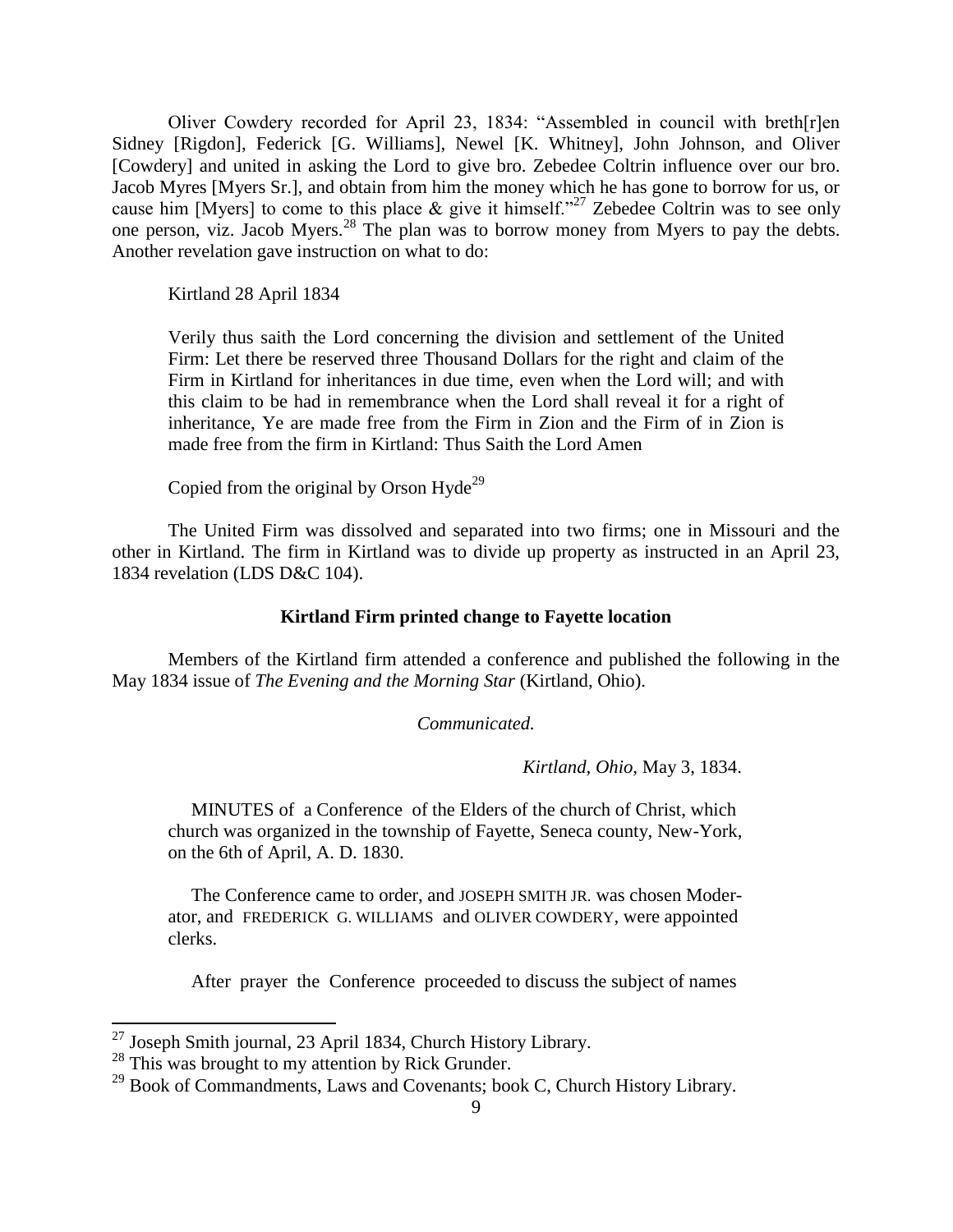Oliver Cowdery recorded for April 23, 1834: "Assembled in council with breth[r]en Sidney [Rigdon], Federick [G. Williams], Newel [K. Whitney], John Johnson, and Oliver [Cowdery] and united in asking the Lord to give bro. Zebedee Coltrin influence over our bro. Jacob Myres [Myers Sr.], and obtain from him the money which he has gone to borrow for us, or cause him [Myers] to come to this place  $\&$  give it himself."<sup>27</sup> Zebedee Coltrin was to see only one person, viz. Jacob Myers.<sup>28</sup> The plan was to borrow money from Myers to pay the debts. Another revelation gave instruction on what to do:

Kirtland 28 April 1834

Verily thus saith the Lord concerning the division and settlement of the United Firm: Let there be reserved three Thousand Dollars for the right and claim of the Firm in Kirtland for inheritances in due time, even when the Lord will; and with this claim to be had in remembrance when the Lord shall reveal it for a right of inheritance, Ye are made free from the Firm in Zion and the Firm of in Zion is made free from the firm in Kirtland: Thus Saith the Lord Amen

Copied from the original by Orson Hyde<sup>29</sup>

The United Firm was dissolved and separated into two firms; one in Missouri and the other in Kirtland. The firm in Kirtland was to divide up property as instructed in an April 23, 1834 revelation (LDS D&C 104).

# **Kirtland Firm printed change to Fayette location**

Members of the Kirtland firm attended a conference and published the following in the May 1834 issue of *The Evening and the Morning Star* (Kirtland, Ohio).

*Communicated.*

*Kirtland, Ohio,* May 3, 1834.

 MINUTES of a Conference of the Elders of the church of Christ, which church was organized in the township of Fayette, Seneca county, New-York, on the 6th of April, A. D. 1830.

 The Conference came to order, and JOSEPH SMITH JR. was chosen Moderator, and FREDERICK G. WILLIAMS and OLIVER COWDERY, were appointed clerks.

After prayer the Conference proceeded to discuss the subject of names

l

 $^{27}$  Joseph Smith journal, 23 April 1834, Church History Library.

 $28$  This was brought to my attention by Rick Grunder.

<sup>&</sup>lt;sup>29</sup> Book of Commandments, Laws and Covenants; book C, Church History Library.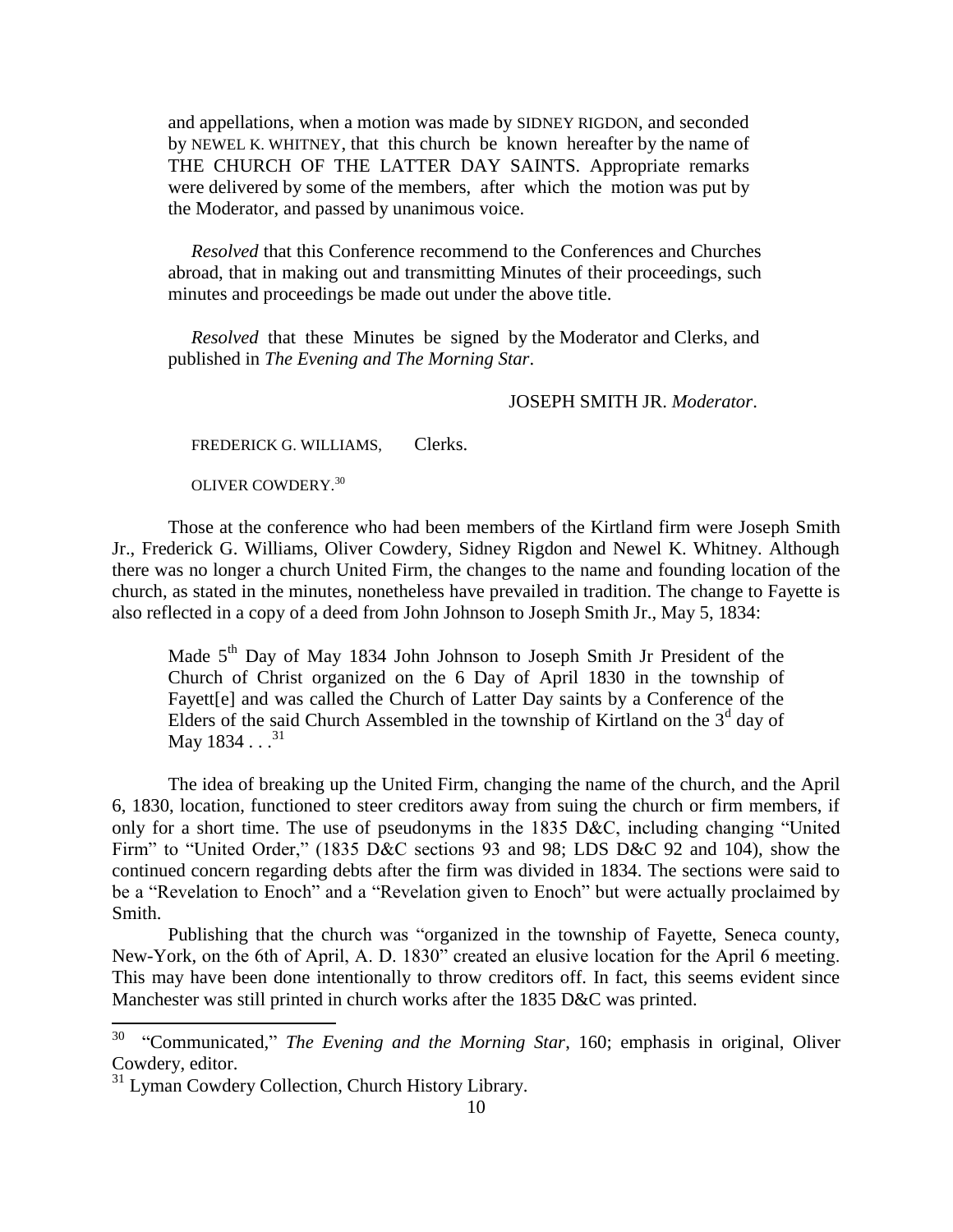and appellations, when a motion was made by SIDNEY RIGDON, and seconded by NEWEL K. WHITNEY, that this church be known hereafter by the name of THE CHURCH OF THE LATTER DAY SAINTS. Appropriate remarks were delivered by some of the members, after which the motion was put by the Moderator, and passed by unanimous voice.

 *Resolved* that this Conference recommend to the Conferences and Churches abroad, that in making out and transmitting Minutes of their proceedings, such minutes and proceedings be made out under the above title.

 *Resolved* that these Minutes be signed by the Moderator and Clerks, and published in *The Evening and The Morning Star*.

JOSEPH SMITH JR. *Moderator*.

FREDERICK G. WILLIAMS, Clerks.

OLIVER COWDERY.<sup>30</sup>

Those at the conference who had been members of the Kirtland firm were Joseph Smith Jr., Frederick G. Williams, Oliver Cowdery, Sidney Rigdon and Newel K. Whitney. Although there was no longer a church United Firm, the changes to the name and founding location of the church, as stated in the minutes, nonetheless have prevailed in tradition. The change to Fayette is also reflected in a copy of a deed from John Johnson to Joseph Smith Jr., May 5, 1834:

Made  $5<sup>th</sup>$  Day of May 1834 John Johnson to Joseph Smith Jr President of the Church of Christ organized on the 6 Day of April 1830 in the township of Fayett<sup>[e]</sup> and was called the Church of Latter Day saints by a Conference of the Elders of the said Church Assembled in the township of Kirtland on the  $3<sup>d</sup>$  day of May  $1834...^{31}$ 

The idea of breaking up the United Firm, changing the name of the church, and the April 6, 1830, location, functioned to steer creditors away from suing the church or firm members, if only for a short time. The use of pseudonyms in the 1835 D&C, including changing "United Firm" to "United Order," (1835 D&C sections 93 and 98; LDS D&C 92 and 104), show the continued concern regarding debts after the firm was divided in 1834. The sections were said to be a "Revelation to Enoch" and a "Revelation given to Enoch" but were actually proclaimed by Smith.

Publishing that the church was "organized in the township of Fayette, Seneca county, New-York, on the 6th of April, A. D. 1830" created an elusive location for the April 6 meeting. This may have been done intentionally to throw creditors off. In fact, this seems evident since Manchester was still printed in church works after the 1835 D&C was printed.

 30 "Communicated," *The Evening and the Morning Star*, 160; emphasis in original, Oliver Cowdery, editor.

<sup>&</sup>lt;sup>31</sup> Lyman Cowdery Collection, Church History Library.